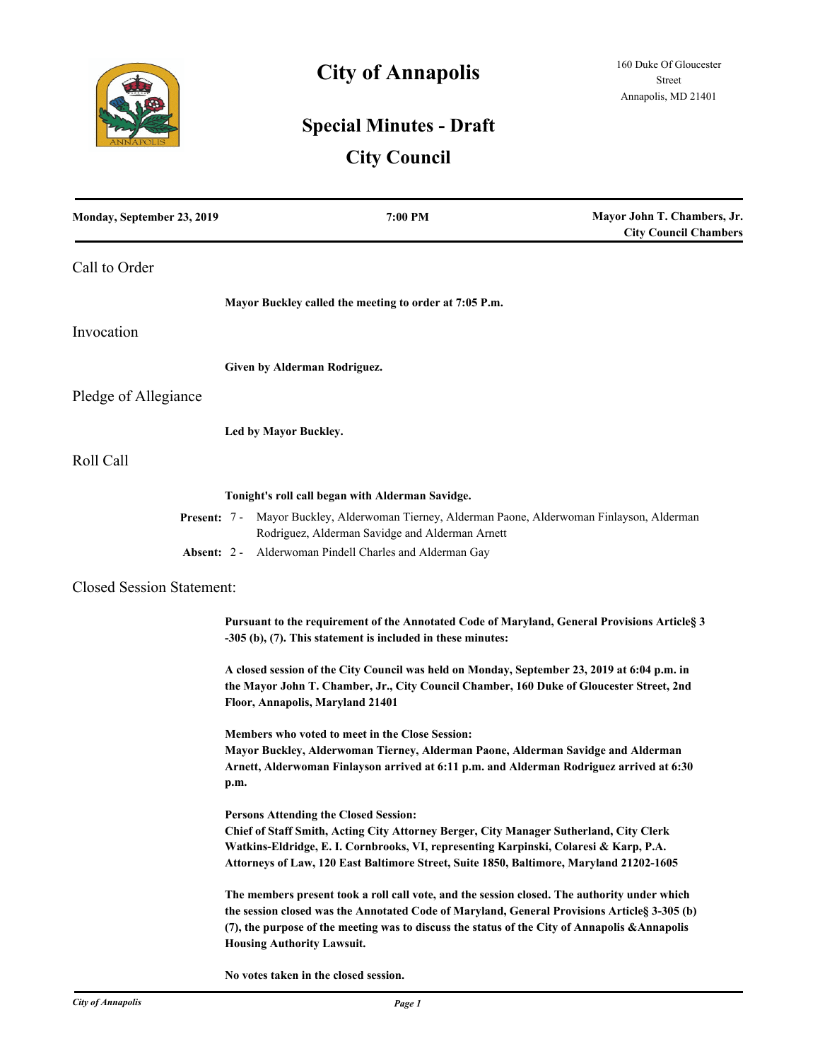

# **City of Annapolis**

# **Special Minutes - Draft**

# **City Council**

| Monday, September 23, 2019       | 7:00 PM                                                                                                                                                                                                                                                                                                                             | Mayor John T. Chambers, Jr.<br><b>City Council Chambers</b> |
|----------------------------------|-------------------------------------------------------------------------------------------------------------------------------------------------------------------------------------------------------------------------------------------------------------------------------------------------------------------------------------|-------------------------------------------------------------|
| Call to Order                    |                                                                                                                                                                                                                                                                                                                                     |                                                             |
|                                  | Mayor Buckley called the meeting to order at 7:05 P.m.                                                                                                                                                                                                                                                                              |                                                             |
| Invocation                       |                                                                                                                                                                                                                                                                                                                                     |                                                             |
|                                  | Given by Alderman Rodriguez.                                                                                                                                                                                                                                                                                                        |                                                             |
| Pledge of Allegiance             |                                                                                                                                                                                                                                                                                                                                     |                                                             |
|                                  | Led by Mayor Buckley.                                                                                                                                                                                                                                                                                                               |                                                             |
| Roll Call                        |                                                                                                                                                                                                                                                                                                                                     |                                                             |
|                                  | Tonight's roll call began with Alderman Savidge.                                                                                                                                                                                                                                                                                    |                                                             |
|                                  | Present: 7 - Mayor Buckley, Alderwoman Tierney, Alderman Paone, Alderwoman Finlayson, Alderman<br>Rodriguez, Alderman Savidge and Alderman Arnett                                                                                                                                                                                   |                                                             |
| Absent: 2 -                      | Alderwoman Pindell Charles and Alderman Gay                                                                                                                                                                                                                                                                                         |                                                             |
| <b>Closed Session Statement:</b> |                                                                                                                                                                                                                                                                                                                                     |                                                             |
|                                  | Pursuant to the requirement of the Annotated Code of Maryland, General Provisions Articles 3<br>$-305$ (b), (7). This statement is included in these minutes:                                                                                                                                                                       |                                                             |
|                                  | A closed session of the City Council was held on Monday, September 23, 2019 at 6:04 p.m. in<br>the Mayor John T. Chamber, Jr., City Council Chamber, 160 Duke of Gloucester Street, 2nd<br>Floor, Annapolis, Maryland 21401                                                                                                         |                                                             |
|                                  | Members who voted to meet in the Close Session:<br>Mayor Buckley, Alderwoman Tierney, Alderman Paone, Alderman Savidge and Alderman<br>Arnett, Alderwoman Finlayson arrived at 6:11 p.m. and Alderman Rodriguez arrived at 6:30<br>p.m.                                                                                             |                                                             |
|                                  | <b>Persons Attending the Closed Session:</b><br>Chief of Staff Smith, Acting City Attorney Berger, City Manager Sutherland, City Clerk<br>Watkins-Eldridge, E. I. Cornbrooks, VI, representing Karpinski, Colaresi & Karp, P.A.<br>Attorneys of Law, 120 East Baltimore Street, Suite 1850, Baltimore, Maryland 21202-1605          |                                                             |
|                                  | The members present took a roll call vote, and the session closed. The authority under which<br>the session closed was the Annotated Code of Maryland, General Provisions Articles 3-305 (b)<br>(7), the purpose of the meeting was to discuss the status of the City of Annapolis & Annapolis<br><b>Housing Authority Lawsuit.</b> |                                                             |

**No votes taken in the closed session.**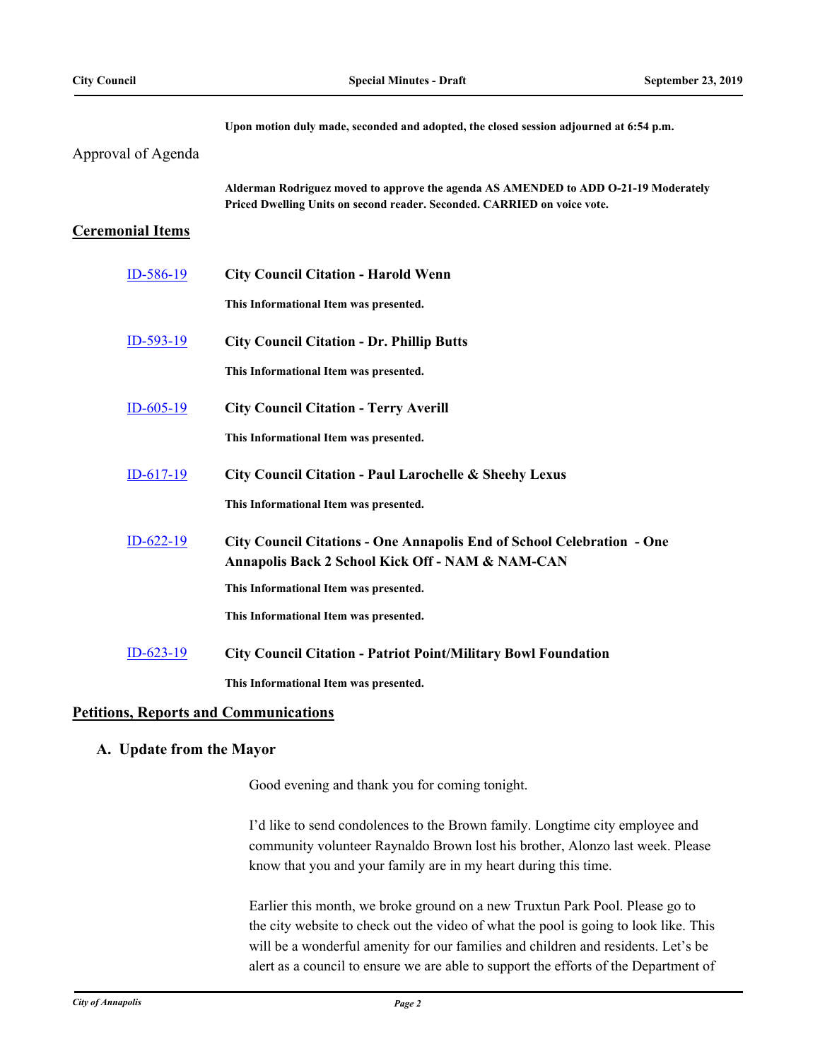|                         | Upon motion duly made, seconded and adopted, the closed session adjourned at 6:54 p.m.                                                                          |
|-------------------------|-----------------------------------------------------------------------------------------------------------------------------------------------------------------|
| Approval of Agenda      |                                                                                                                                                                 |
|                         | Alderman Rodriguez moved to approve the agenda AS AMENDED to ADD O-21-19 Moderately<br>Priced Dwelling Units on second reader. Seconded. CARRIED on voice vote. |
| <b>Ceremonial Items</b> |                                                                                                                                                                 |
| ID-586-19               | <b>City Council Citation - Harold Wenn</b>                                                                                                                      |
|                         | This Informational Item was presented.                                                                                                                          |
| $ID-593-19$             | <b>City Council Citation - Dr. Phillip Butts</b>                                                                                                                |
|                         | This Informational Item was presented.                                                                                                                          |
| $ID-605-19$             | <b>City Council Citation - Terry Averill</b>                                                                                                                    |
|                         | This Informational Item was presented.                                                                                                                          |
| $ID-617-19$             | City Council Citation - Paul Larochelle & Sheehy Lexus                                                                                                          |
|                         | This Informational Item was presented.                                                                                                                          |
| $ID-622-19$             | City Council Citations - One Annapolis End of School Celebration - One                                                                                          |
|                         | Annapolis Back 2 School Kick Off - NAM & NAM-CAN                                                                                                                |
|                         | This Informational Item was presented.                                                                                                                          |
|                         | This Informational Item was presented.                                                                                                                          |
| $ID-623-19$             | <b>City Council Citation - Patriot Point/Military Bowl Foundation</b>                                                                                           |
|                         | This Informational Item was presented.                                                                                                                          |

# **Petitions, Reports and Communications**

## **A. Update from the Mayor**

Good evening and thank you for coming tonight.

I'd like to send condolences to the Brown family. Longtime city employee and community volunteer Raynaldo Brown lost his brother, Alonzo last week. Please know that you and your family are in my heart during this time.

Earlier this month, we broke ground on a new Truxtun Park Pool. Please go to the city website to check out the video of what the pool is going to look like. This will be a wonderful amenity for our families and children and residents. Let's be alert as a council to ensure we are able to support the efforts of the Department of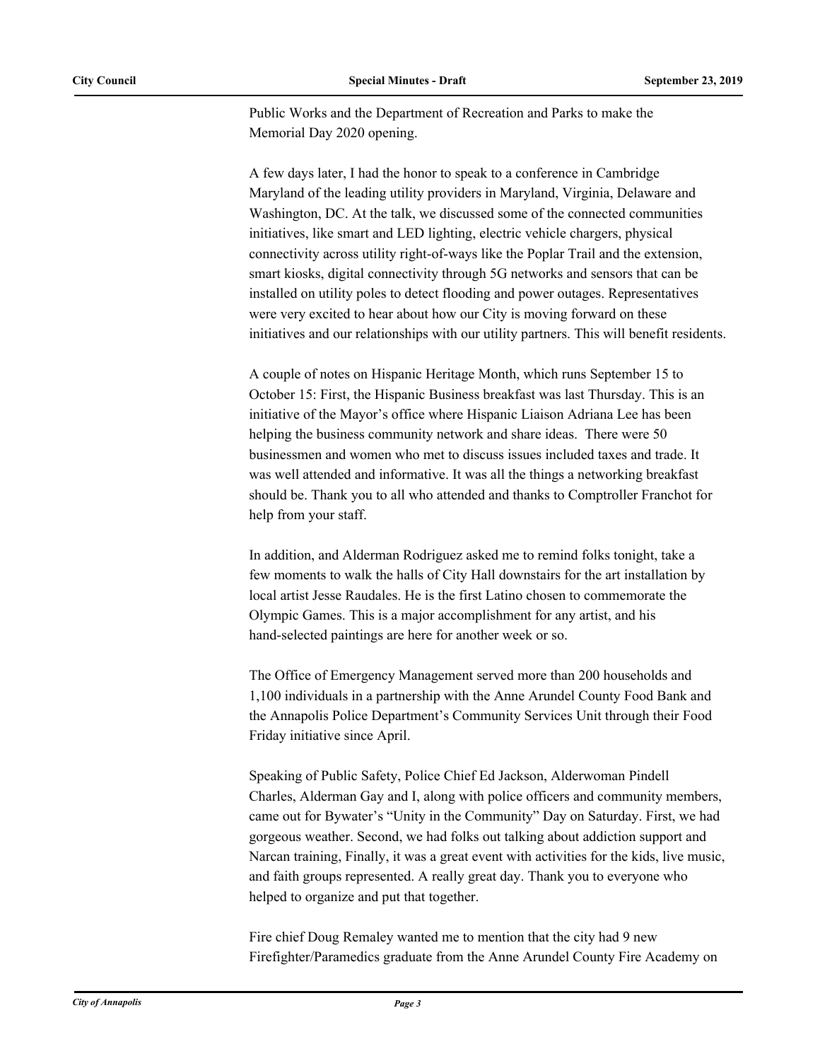Public Works and the Department of Recreation and Parks to make the Memorial Day 2020 opening.

A few days later, I had the honor to speak to a conference in Cambridge Maryland of the leading utility providers in Maryland, Virginia, Delaware and Washington, DC. At the talk, we discussed some of the connected communities initiatives, like smart and LED lighting, electric vehicle chargers, physical connectivity across utility right-of-ways like the Poplar Trail and the extension, smart kiosks, digital connectivity through 5G networks and sensors that can be installed on utility poles to detect flooding and power outages. Representatives were very excited to hear about how our City is moving forward on these initiatives and our relationships with our utility partners. This will benefit residents.

A couple of notes on Hispanic Heritage Month, which runs September 15 to October 15: First, the Hispanic Business breakfast was last Thursday. This is an initiative of the Mayor's office where Hispanic Liaison Adriana Lee has been helping the business community network and share ideas. There were 50 businessmen and women who met to discuss issues included taxes and trade. It was well attended and informative. It was all the things a networking breakfast should be. Thank you to all who attended and thanks to Comptroller Franchot for help from your staff.

In addition, and Alderman Rodriguez asked me to remind folks tonight, take a few moments to walk the halls of City Hall downstairs for the art installation by local artist Jesse Raudales. He is the first Latino chosen to commemorate the Olympic Games. This is a major accomplishment for any artist, and his hand-selected paintings are here for another week or so.

The Office of Emergency Management served more than 200 households and 1,100 individuals in a partnership with the Anne Arundel County Food Bank and the Annapolis Police Department's Community Services Unit through their Food Friday initiative since April.

Speaking of Public Safety, Police Chief Ed Jackson, Alderwoman Pindell Charles, Alderman Gay and I, along with police officers and community members, came out for Bywater's "Unity in the Community" Day on Saturday. First, we had gorgeous weather. Second, we had folks out talking about addiction support and Narcan training, Finally, it was a great event with activities for the kids, live music, and faith groups represented. A really great day. Thank you to everyone who helped to organize and put that together.

Fire chief Doug Remaley wanted me to mention that the city had 9 new Firefighter/Paramedics graduate from the Anne Arundel County Fire Academy on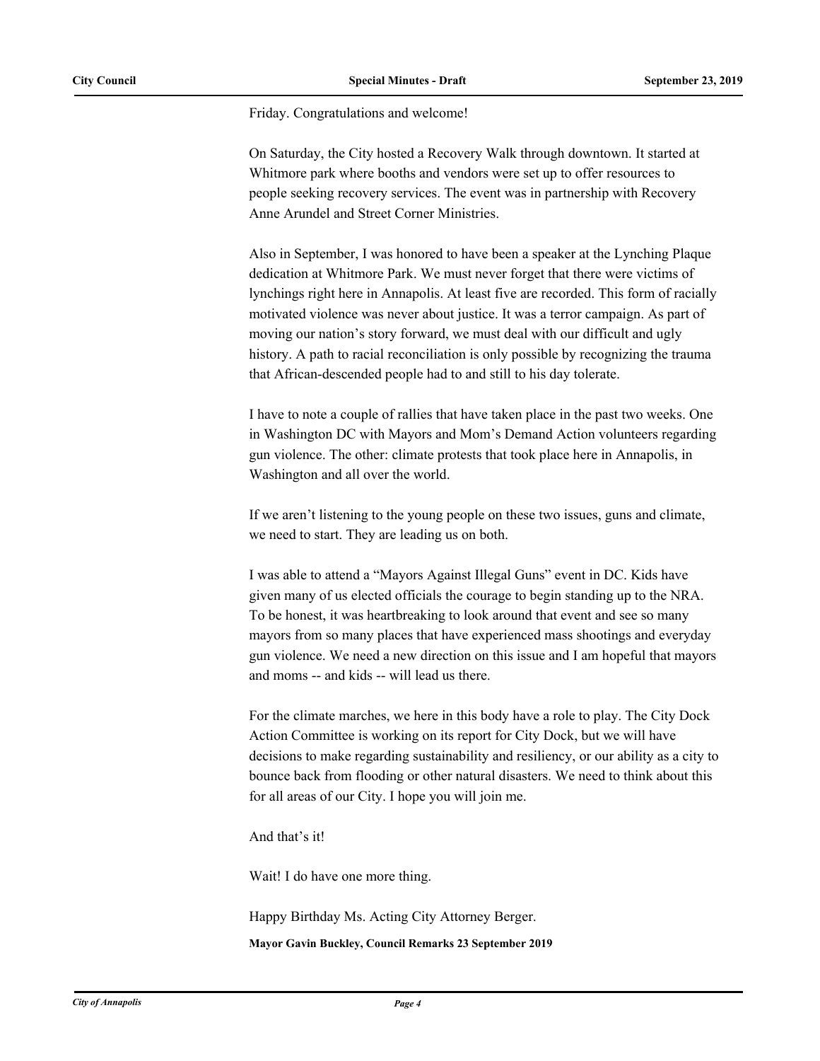Friday. Congratulations and welcome!

On Saturday, the City hosted a Recovery Walk through downtown. It started at Whitmore park where booths and vendors were set up to offer resources to people seeking recovery services. The event was in partnership with Recovery Anne Arundel and Street Corner Ministries.

Also in September, I was honored to have been a speaker at the Lynching Plaque dedication at Whitmore Park. We must never forget that there were victims of lynchings right here in Annapolis. At least five are recorded. This form of racially motivated violence was never about justice. It was a terror campaign. As part of moving our nation's story forward, we must deal with our difficult and ugly history. A path to racial reconciliation is only possible by recognizing the trauma that African-descended people had to and still to his day tolerate.

I have to note a couple of rallies that have taken place in the past two weeks. One in Washington DC with Mayors and Mom's Demand Action volunteers regarding gun violence. The other: climate protests that took place here in Annapolis, in Washington and all over the world.

If we aren't listening to the young people on these two issues, guns and climate, we need to start. They are leading us on both.

I was able to attend a "Mayors Against Illegal Guns" event in DC. Kids have given many of us elected officials the courage to begin standing up to the NRA. To be honest, it was heartbreaking to look around that event and see so many mayors from so many places that have experienced mass shootings and everyday gun violence. We need a new direction on this issue and I am hopeful that mayors and moms -- and kids -- will lead us there.

For the climate marches, we here in this body have a role to play. The City Dock Action Committee is working on its report for City Dock, but we will have decisions to make regarding sustainability and resiliency, or our ability as a city to bounce back from flooding or other natural disasters. We need to think about this for all areas of our City. I hope you will join me.

And that's it!

Wait! I do have one more thing.

Happy Birthday Ms. Acting City Attorney Berger.

**Mayor Gavin Buckley, Council Remarks 23 September 2019**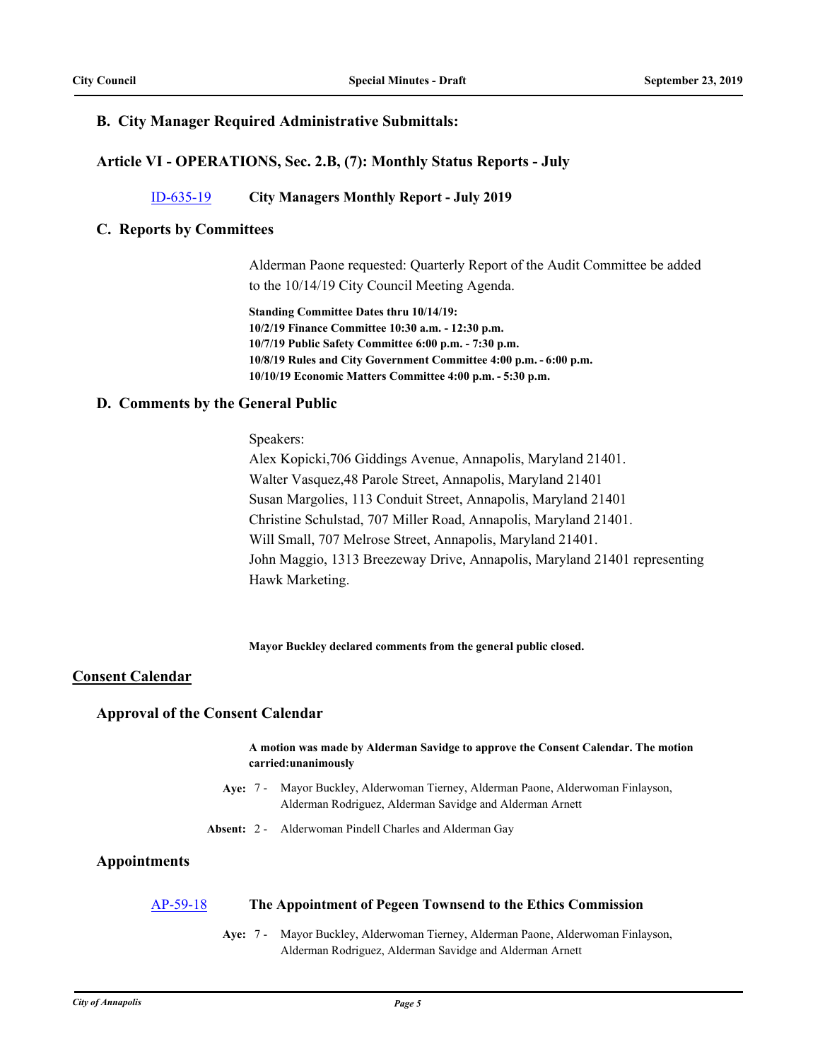# **B. City Manager Required Administrative Submittals:**

# **Article VI - OPERATIONS, Sec. 2.B, (7): Monthly Status Reports - July**

# [ID-635-19](http://annapolismd.legistar.com/gateway.aspx?m=l&id=/matter.aspx?key=4486) **City Managers Monthly Report - July 2019**

## **C. Reports by Committees**

Alderman Paone requested: Quarterly Report of the Audit Committee be added to the 10/14/19 City Council Meeting Agenda.

**Standing Committee Dates thru 10/14/19: 10/2/19 Finance Committee 10:30 a.m. - 12:30 p.m. 10/7/19 Public Safety Committee 6:00 p.m. - 7:30 p.m. 10/8/19 Rules and City Government Committee 4:00 p.m. - 6:00 p.m. 10/10/19 Economic Matters Committee 4:00 p.m. - 5:30 p.m.**

## **D. Comments by the General Public**

### Speakers:

Alex Kopicki,706 Giddings Avenue, Annapolis, Maryland 21401. Walter Vasquez,48 Parole Street, Annapolis, Maryland 21401 Susan Margolies, 113 Conduit Street, Annapolis, Maryland 21401 Christine Schulstad, 707 Miller Road, Annapolis, Maryland 21401. Will Small, 707 Melrose Street, Annapolis, Maryland 21401. John Maggio, 1313 Breezeway Drive, Annapolis, Maryland 21401 representing Hawk Marketing.

**Mayor Buckley declared comments from the general public closed.**

## **Consent Calendar**

## **Approval of the Consent Calendar**

**A motion was made by Alderman Savidge to approve the Consent Calendar. The motion carried:unanimously**

- **Aye:** Mayor Buckley, Alderwoman Tierney, Alderman Paone, Alderwoman Finlayson, Alderman Rodriguez, Alderman Savidge and Alderman Arnett Aye: 7 -
- **Absent:** 2 Alderwoman Pindell Charles and Alderman Gay

# **Appointments**

## [AP-59-18](http://annapolismd.legistar.com/gateway.aspx?m=l&id=/matter.aspx?key=4035) **The Appointment of Pegeen Townsend to the Ethics Commission**

Aye: 7 - Mayor Buckley, Alderwoman Tierney, Alderman Paone, Alderwoman Finlayson, Alderman Rodriguez, Alderman Savidge and Alderman Arnett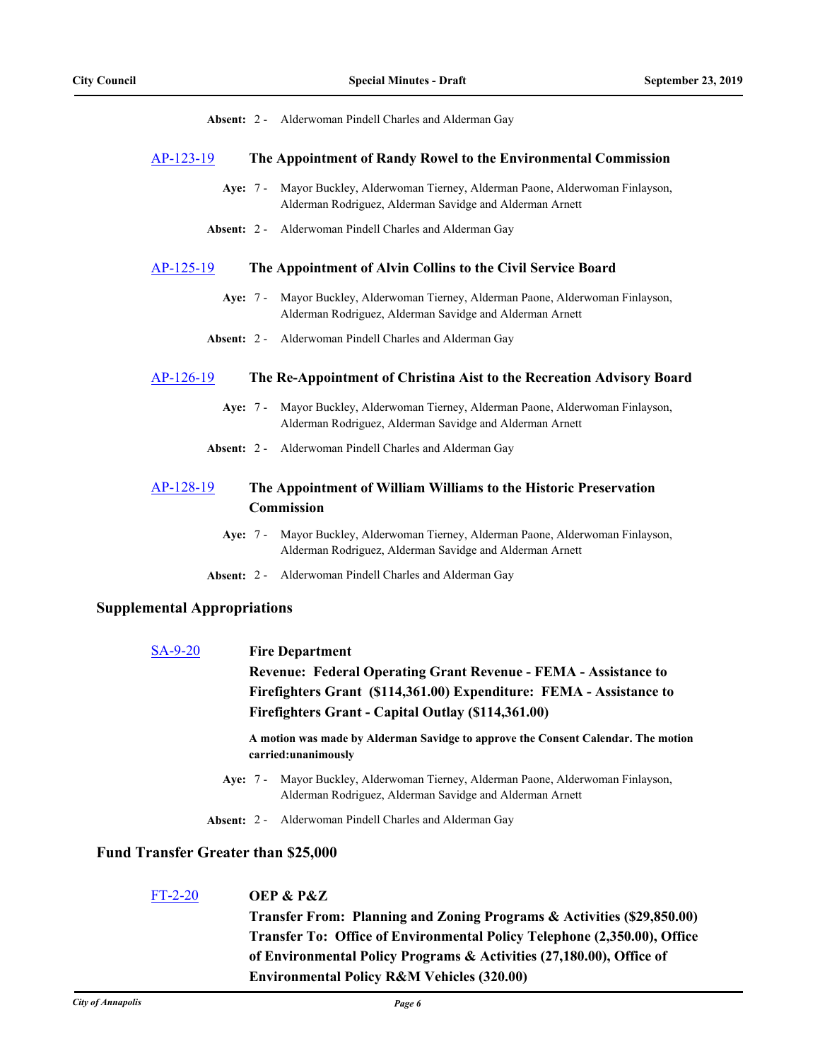**Absent:** 2 - Alderwoman Pindell Charles and Alderman Gay

#### [AP-123-19](http://annapolismd.legistar.com/gateway.aspx?m=l&id=/matter.aspx?key=4360) **The Appointment of Randy Rowel to the Environmental Commission**

- Aye: 7 Mayor Buckley, Alderwoman Tierney, Alderman Paone, Alderwoman Finlayson, Alderman Rodriguez, Alderman Savidge and Alderman Arnett
- **Absent:** 2 Alderwoman Pindell Charles and Alderman Gay

#### [AP-125-19](http://annapolismd.legistar.com/gateway.aspx?m=l&id=/matter.aspx?key=4439) **The Appointment of Alvin Collins to the Civil Service Board**

- Aye: 7 Mayor Buckley, Alderwoman Tierney, Alderman Paone, Alderwoman Finlayson, Alderman Rodriguez, Alderman Savidge and Alderman Arnett
- **Absent:** 2 Alderwoman Pindell Charles and Alderman Gay

#### [AP-126-19](http://annapolismd.legistar.com/gateway.aspx?m=l&id=/matter.aspx?key=4440) **The Re-Appointment of Christina Aist to the Recreation Advisory Board**

- Aye: 7 Mayor Buckley, Alderwoman Tierney, Alderman Paone, Alderwoman Finlayson, Alderman Rodriguez, Alderman Savidge and Alderman Arnett
- **Absent:** 2 Alderwoman Pindell Charles and Alderman Gay

# [AP-128-19](http://annapolismd.legistar.com/gateway.aspx?m=l&id=/matter.aspx?key=4442) **The Appointment of William Williams to the Historic Preservation Commission**

- **Aye:** Mayor Buckley, Alderwoman Tierney, Alderman Paone, Alderwoman Finlayson, Alderman Rodriguez, Alderman Savidge and Alderman Arnett Ave: 7 -
- **Absent:** 2 Alderwoman Pindell Charles and Alderman Gay

#### **Supplemental Appropriations**

# [SA-9-20](http://annapolismd.legistar.com/gateway.aspx?m=l&id=/matter.aspx?key=4408) **Fire Department Revenue: Federal Operating Grant Revenue - FEMA - Assistance to Firefighters Grant (\$114,361.00) Expenditure: FEMA - Assistance to Firefighters Grant - Capital Outlay (\$114,361.00)**

**A motion was made by Alderman Savidge to approve the Consent Calendar. The motion carried:unanimously**

- Aye: 7 Mayor Buckley, Alderwoman Tierney, Alderman Paone, Alderwoman Finlayson, Alderman Rodriguez, Alderman Savidge and Alderman Arnett
- **Absent:** 2 Alderwoman Pindell Charles and Alderman Gay

#### **Fund Transfer Greater than \$25,000**

# [FT-2-20](http://annapolismd.legistar.com/gateway.aspx?m=l&id=/matter.aspx?key=4462) **OEP & P&Z**

**Transfer From: Planning and Zoning Programs & Activities (\$29,850.00) Transfer To: Office of Environmental Policy Telephone (2,350.00), Office of Environmental Policy Programs & Activities (27,180.00), Office of Environmental Policy R&M Vehicles (320.00)**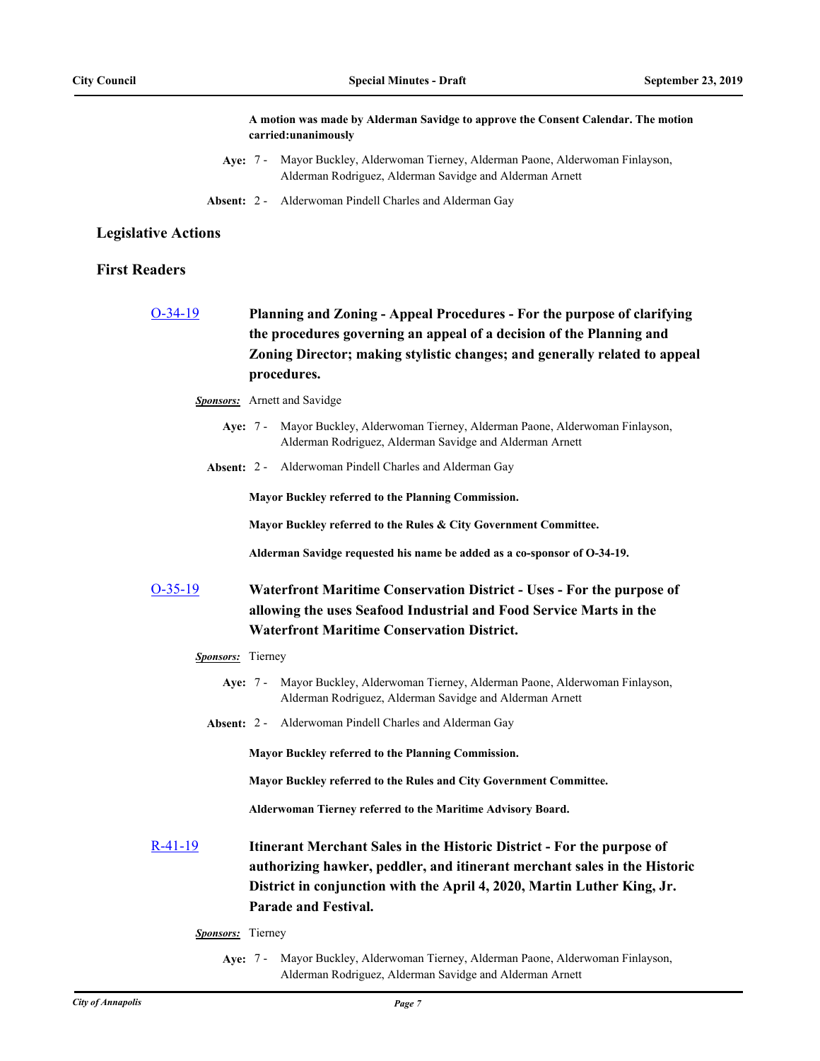**A motion was made by Alderman Savidge to approve the Consent Calendar. The motion carried:unanimously**

- **Aye:** Mayor Buckley, Alderwoman Tierney, Alderman Paone, Alderwoman Finlayson, Alderman Rodriguez, Alderman Savidge and Alderman Arnett Aye: 7 -
- **Absent:** 2 Alderwoman Pindell Charles and Alderman Gay

#### **Legislative Actions**

## **First Readers**

[O-34-19](http://annapolismd.legistar.com/gateway.aspx?m=l&id=/matter.aspx?key=4449) **Planning and Zoning - Appeal Procedures - For the purpose of clarifying the procedures governing an appeal of a decision of the Planning and Zoning Director; making stylistic changes; and generally related to appeal procedures.**

*Sponsors:* Arnett and Savidge

- Aye: 7 Mayor Buckley, Alderwoman Tierney, Alderman Paone, Alderwoman Finlayson, Alderman Rodriguez, Alderman Savidge and Alderman Arnett
- **Absent:** 2 Alderwoman Pindell Charles and Alderman Gay

**Mayor Buckley referred to the Planning Commission.**

**Mayor Buckley referred to the Rules & City Government Committee.**

**Alderman Savidge requested his name be added as a co-sponsor of O-34-19.**

# [O-35-19](http://annapolismd.legistar.com/gateway.aspx?m=l&id=/matter.aspx?key=4463) **Waterfront Maritime Conservation District - Uses - For the purpose of allowing the uses Seafood Industrial and Food Service Marts in the Waterfront Maritime Conservation District.**

#### *Sponsors:* Tierney

- Aye: 7 Mayor Buckley, Alderwoman Tierney, Alderman Paone, Alderwoman Finlayson, Alderman Rodriguez, Alderman Savidge and Alderman Arnett
- **Absent:** 2 Alderwoman Pindell Charles and Alderman Gay

**Mayor Buckley referred to the Planning Commission.**

**Mayor Buckley referred to the Rules and City Government Committee.**

**Alderwoman Tierney referred to the Maritime Advisory Board.**

- [R-41-19](http://annapolismd.legistar.com/gateway.aspx?m=l&id=/matter.aspx?key=4454) **Itinerant Merchant Sales in the Historic District For the purpose of authorizing hawker, peddler, and itinerant merchant sales in the Historic District in conjunction with the April 4, 2020, Martin Luther King, Jr. Parade and Festival.**
	- *Sponsors:* Tierney
		- **Aye:** Mayor Buckley, Alderwoman Tierney, Alderman Paone, Alderwoman Finlayson, Alderman Rodriguez, Alderman Savidge and Alderman Arnett Aye: 7 -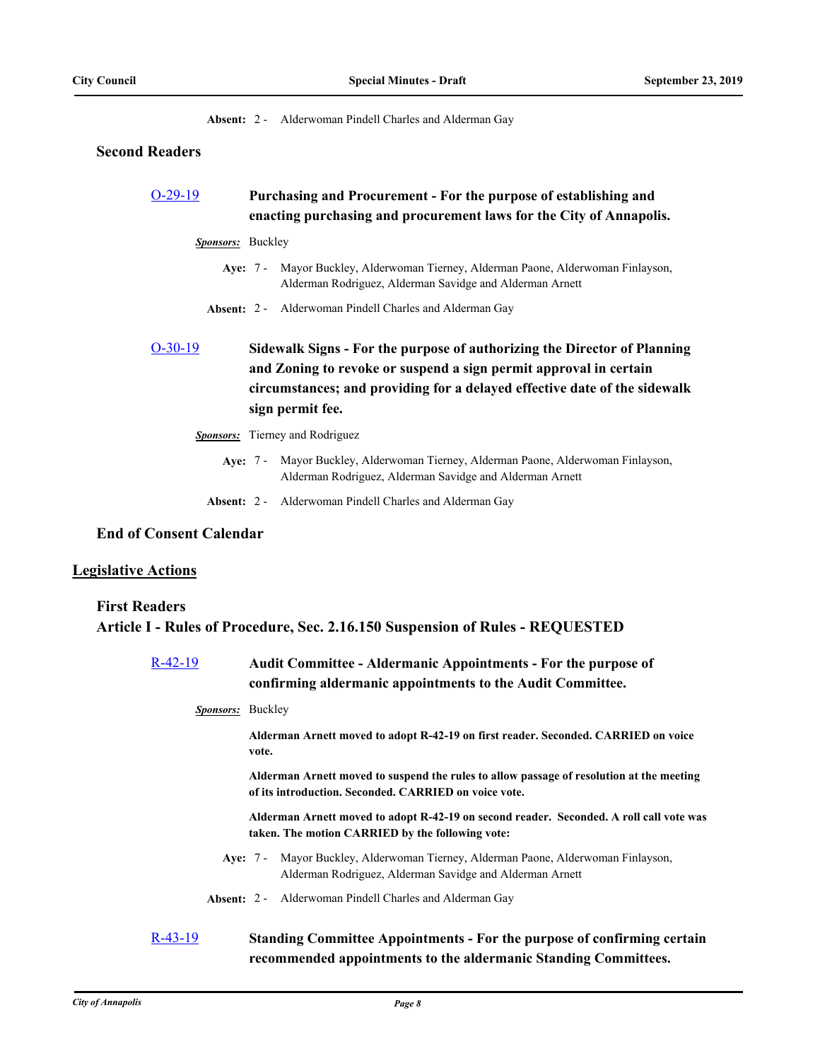**Absent:** 2 - Alderwoman Pindell Charles and Alderman Gay

### **Second Readers**

# [O-29-19](http://annapolismd.legistar.com/gateway.aspx?m=l&id=/matter.aspx?key=4396) **Purchasing and Procurement - For the purpose of establishing and enacting purchasing and procurement laws for the City of Annapolis.**

- *Sponsors:* Buckley
	- Aye: 7 Mayor Buckley, Alderwoman Tierney, Alderman Paone, Alderwoman Finlayson, Alderman Rodriguez, Alderman Savidge and Alderman Arnett
	- **Absent:** 2 Alderwoman Pindell Charles and Alderman Gay

# [O-30-19](http://annapolismd.legistar.com/gateway.aspx?m=l&id=/matter.aspx?key=4403) **Sidewalk Signs - For the purpose of authorizing the Director of Planning and Zoning to revoke or suspend a sign permit approval in certain circumstances; and providing for a delayed effective date of the sidewalk sign permit fee.**

- *Sponsors:* Tierney and Rodriguez
	- Aye: 7 Mayor Buckley, Alderwoman Tierney, Alderman Paone, Alderwoman Finlayson, Alderman Rodriguez, Alderman Savidge and Alderman Arnett
	- **Absent:** 2 Alderwoman Pindell Charles and Alderman Gay

# **End of Consent Calendar**

#### **Legislative Actions**

# **First Readers Article I - Rules of Procedure, Sec. 2.16.150 Suspension of Rules - REQUESTED**

[R-42-19](http://annapolismd.legistar.com/gateway.aspx?m=l&id=/matter.aspx?key=4475) **Audit Committee - Aldermanic Appointments - For the purpose of confirming aldermanic appointments to the Audit Committee.**

*Sponsors:* Buckley

**Alderman Arnett moved to adopt R-42-19 on first reader. Seconded. CARRIED on voice vote.**

**Alderman Arnett moved to suspend the rules to allow passage of resolution at the meeting of its introduction. Seconded. CARRIED on voice vote.**

**Alderman Arnett moved to adopt R-42-19 on second reader. Seconded. A roll call vote was taken. The motion CARRIED by the following vote:**

- Aye: 7 Mayor Buckley, Alderwoman Tierney, Alderman Paone, Alderwoman Finlayson, Alderman Rodriguez, Alderman Savidge and Alderman Arnett
- **Absent:** 2 Alderwoman Pindell Charles and Alderman Gay

# [R-43-19](http://annapolismd.legistar.com/gateway.aspx?m=l&id=/matter.aspx?key=4474) **Standing Committee Appointments - For the purpose of confirming certain recommended appointments to the aldermanic Standing Committees.**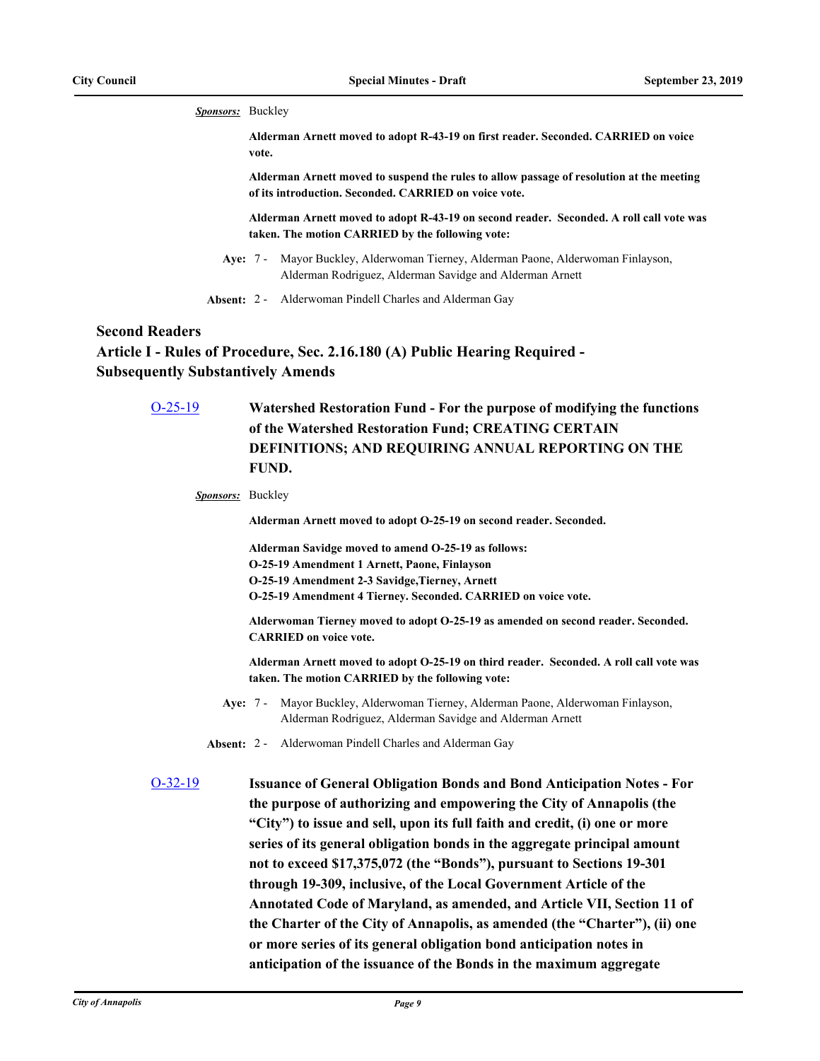*Sponsors:* Buckley

**Alderman Arnett moved to adopt R-43-19 on first reader. Seconded. CARRIED on voice vote.**

**Alderman Arnett moved to suspend the rules to allow passage of resolution at the meeting of its introduction. Seconded. CARRIED on voice vote.**

**Alderman Arnett moved to adopt R-43-19 on second reader. Seconded. A roll call vote was taken. The motion CARRIED by the following vote:**

Aye: 7 - Mayor Buckley, Alderwoman Tierney, Alderman Paone, Alderwoman Finlayson, Alderman Rodriguez, Alderman Savidge and Alderman Arnett

**Absent:** 2 - Alderwoman Pindell Charles and Alderman Gay

# **Second Readers**

**Article I - Rules of Procedure, Sec. 2.16.180 (A) Public Hearing Required - Subsequently Substantively Amends**

| $O-25-19$         | Watershed Restoration Fund - For the purpose of modifying the functions<br>of the Watershed Restoration Fund; CREATING CERTAIN<br>DEFINITIONS; AND REQUIRING ANNUAL REPORTING ON THE<br>FUND.                                   |
|-------------------|---------------------------------------------------------------------------------------------------------------------------------------------------------------------------------------------------------------------------------|
| Sponsors: Buckley |                                                                                                                                                                                                                                 |
|                   | Alderman Arnett moved to adopt O-25-19 on second reader. Seconded.                                                                                                                                                              |
|                   | Alderman Savidge moved to amend O-25-19 as follows:<br>O-25-19 Amendment 1 Arnett, Paone, Finlayson<br>O-25-19 Amendment 2-3 Savidge, Tierney, Arnett<br>O-25-19 Amendment 4 Tierney. Seconded. CARRIED on voice vote.          |
|                   | Alderwoman Tierney moved to adopt O-25-19 as amended on second reader. Seconded.<br><b>CARRIED</b> on voice vote.                                                                                                               |
|                   | Alderman Arnett moved to adopt O-25-19 on third reader. Seconded. A roll call vote was<br>taken. The motion CARRIED by the following vote:                                                                                      |
|                   | Mayor Buckley, Alderwoman Tierney, Alderman Paone, Alderwoman Finlayson,<br>Ave: $7 -$<br>Alderman Rodriguez, Alderman Savidge and Alderman Arnett                                                                              |
|                   | Absent: 2 - Alderwoman Pindell Charles and Alderman Gay                                                                                                                                                                         |
| $O-32-19$         | <b>Issuance of General Obligation Bonds and Bond Anticipation Notes - For</b><br>the purpose of authorizing and empowering the City of Annapolis (the                                                                           |
|                   | "City") to issue and sell, upon its full faith and credit, (i) one or more<br>series of its general obligation bonds in the aggregate principal amount<br>not to exceed \$17,375,072 (the "Bonds"), pursuant to Sections 19-301 |
|                   | through 19-309, inclusive, of the Local Government Article of the                                                                                                                                                               |
|                   | Annotated Code of Maryland, as amended, and Article VII, Section 11 of<br>the Charter of the City of Annapolis, as amended (the "Charter"), (ii) one                                                                            |
|                   | or more series of its general obligation bond anticipation notes in                                                                                                                                                             |

**anticipation of the issuance of the Bonds in the maximum aggregate**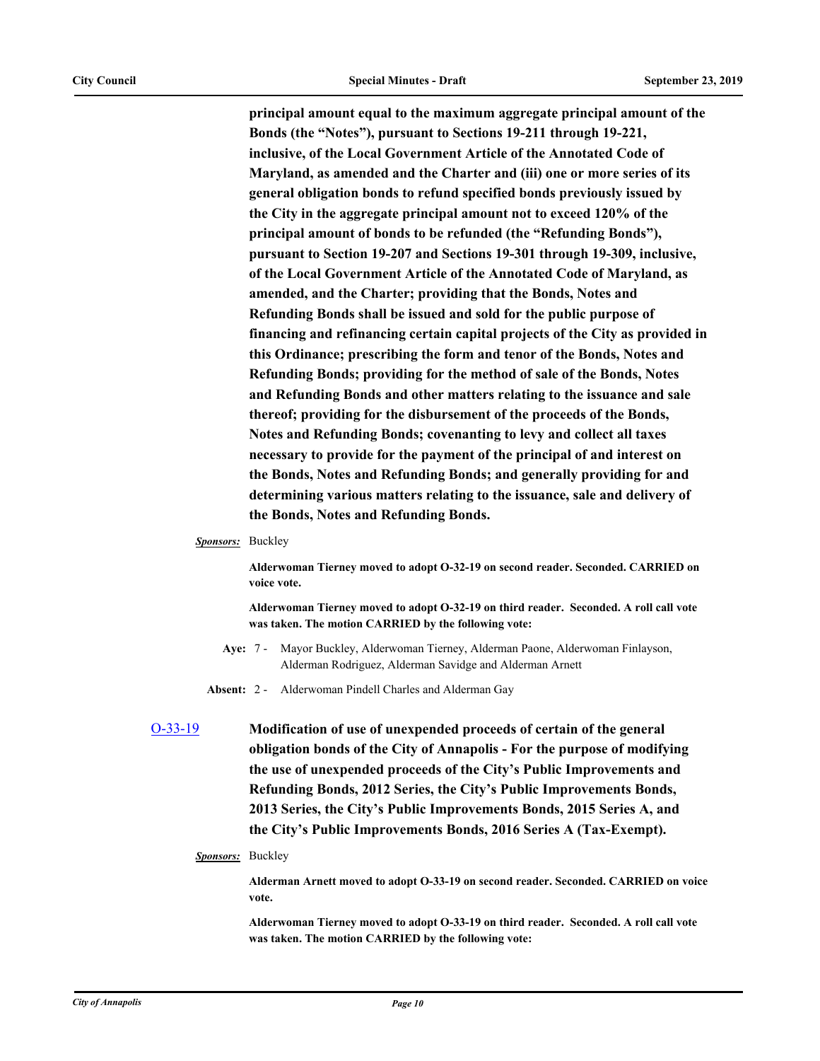**principal amount equal to the maximum aggregate principal amount of the Bonds (the "Notes"), pursuant to Sections 19-211 through 19-221, inclusive, of the Local Government Article of the Annotated Code of Maryland, as amended and the Charter and (iii) one or more series of its general obligation bonds to refund specified bonds previously issued by the City in the aggregate principal amount not to exceed 120% of the principal amount of bonds to be refunded (the "Refunding Bonds"), pursuant to Section 19-207 and Sections 19-301 through 19-309, inclusive, of the Local Government Article of the Annotated Code of Maryland, as amended, and the Charter; providing that the Bonds, Notes and Refunding Bonds shall be issued and sold for the public purpose of financing and refinancing certain capital projects of the City as provided in this Ordinance; prescribing the form and tenor of the Bonds, Notes and Refunding Bonds; providing for the method of sale of the Bonds, Notes and Refunding Bonds and other matters relating to the issuance and sale thereof; providing for the disbursement of the proceeds of the Bonds, Notes and Refunding Bonds; covenanting to levy and collect all taxes necessary to provide for the payment of the principal of and interest on the Bonds, Notes and Refunding Bonds; and generally providing for and determining various matters relating to the issuance, sale and delivery of the Bonds, Notes and Refunding Bonds.**

#### *Sponsors:* Buckley

**Alderwoman Tierney moved to adopt O-32-19 on second reader. Seconded. CARRIED on voice vote.**

**Alderwoman Tierney moved to adopt O-32-19 on third reader. Seconded. A roll call vote was taken. The motion CARRIED by the following vote:**

- **Aye:** Mayor Buckley, Alderwoman Tierney, Alderman Paone, Alderwoman Finlayson, Alderman Rodriguez, Alderman Savidge and Alderman Arnett Aye: 7 -
- **Absent:** 2 Alderwoman Pindell Charles and Alderman Gay

[O-33-19](http://annapolismd.legistar.com/gateway.aspx?m=l&id=/matter.aspx?key=4411) **Modification of use of unexpended proceeds of certain of the general obligation bonds of the City of Annapolis - For the purpose of modifying the use of unexpended proceeds of the City's Public Improvements and Refunding Bonds, 2012 Series, the City's Public Improvements Bonds, 2013 Series, the City's Public Improvements Bonds, 2015 Series A, and the City's Public Improvements Bonds, 2016 Series A (Tax-Exempt).**

### *Sponsors:* Buckley

**Alderman Arnett moved to adopt O-33-19 on second reader. Seconded. CARRIED on voice vote.**

**Alderwoman Tierney moved to adopt O-33-19 on third reader. Seconded. A roll call vote was taken. The motion CARRIED by the following vote:**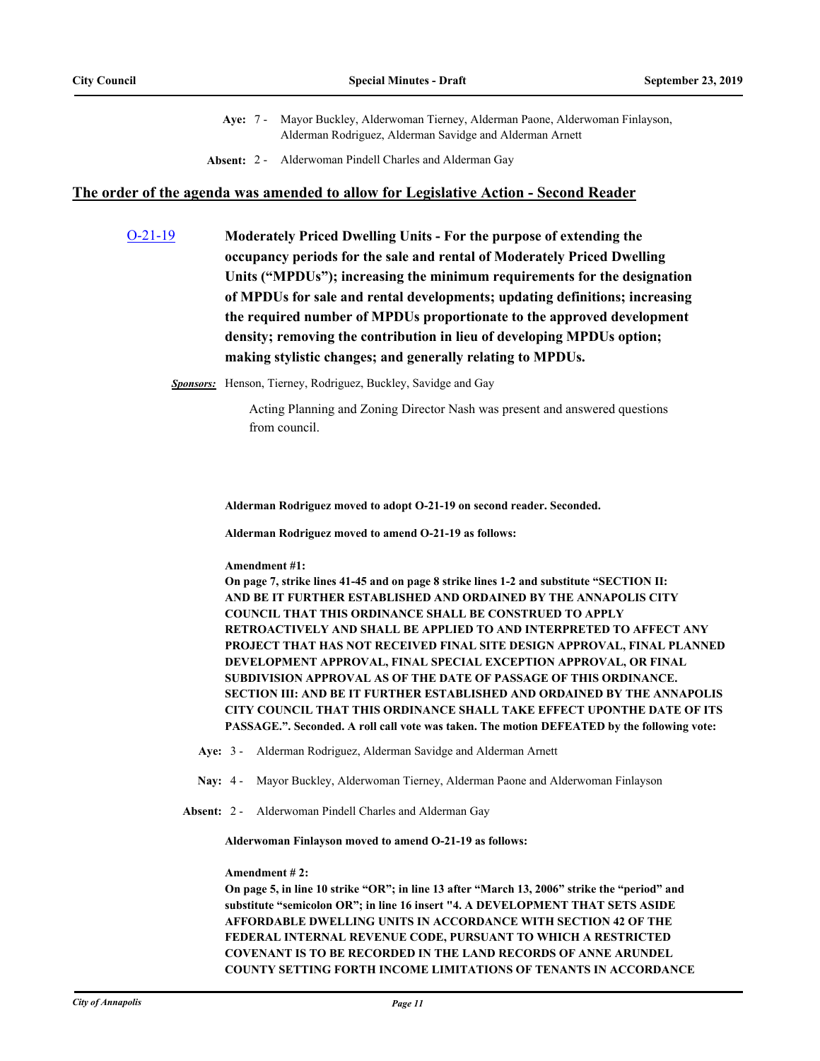- Aye: 7 Mayor Buckley, Alderwoman Tierney, Alderman Paone, Alderwoman Finlayson, Alderman Rodriguez, Alderman Savidge and Alderman Arnett
- **Absent:** 2 Alderwoman Pindell Charles and Alderman Gay

#### **The order of the agenda was amended to allow for Legislative Action - Second Reader**

[O-21-19](http://annapolismd.legistar.com/gateway.aspx?m=l&id=/matter.aspx?key=4221) **Moderately Priced Dwelling Units - For the purpose of extending the occupancy periods for the sale and rental of Moderately Priced Dwelling Units ("MPDUs"); increasing the minimum requirements for the designation of MPDUs for sale and rental developments; updating definitions; increasing the required number of MPDUs proportionate to the approved development density; removing the contribution in lieu of developing MPDUs option; making stylistic changes; and generally relating to MPDUs.**

*Sponsors:* Henson, Tierney, Rodriguez, Buckley, Savidge and Gay

Acting Planning and Zoning Director Nash was present and answered questions from council.

**Alderman Rodriguez moved to adopt O-21-19 on second reader. Seconded.**

**Alderman Rodriguez moved to amend O-21-19 as follows:**

**Amendment #1:**

**On page 7, strike lines 41-45 and on page 8 strike lines 1-2 and substitute "SECTION II: AND BE IT FURTHER ESTABLISHED AND ORDAINED BY THE ANNAPOLIS CITY COUNCIL THAT THIS ORDINANCE SHALL BE CONSTRUED TO APPLY RETROACTIVELY AND SHALL BE APPLIED TO AND INTERPRETED TO AFFECT ANY PROJECT THAT HAS NOT RECEIVED FINAL SITE DESIGN APPROVAL, FINAL PLANNED DEVELOPMENT APPROVAL, FINAL SPECIAL EXCEPTION APPROVAL, OR FINAL SUBDIVISION APPROVAL AS OF THE DATE OF PASSAGE OF THIS ORDINANCE. SECTION III: AND BE IT FURTHER ESTABLISHED AND ORDAINED BY THE ANNAPOLIS CITY COUNCIL THAT THIS ORDINANCE SHALL TAKE EFFECT UPONTHE DATE OF ITS PASSAGE.". Seconded. A roll call vote was taken. The motion DEFEATED by the following vote:**

- **Aye:** 3 Alderman Rodriguez, Alderman Savidge and Alderman Arnett
- **Nay:** 4 Mayor Buckley, Alderwoman Tierney, Alderman Paone and Alderwoman Finlayson
- **Absent:** 2 Alderwoman Pindell Charles and Alderman Gay

**Alderwoman Finlayson moved to amend O-21-19 as follows:**

#### **Amendment # 2:**

**On page 5, in line 10 strike "OR"; in line 13 after "March 13, 2006" strike the "period" and substitute "semicolon OR"; in line 16 insert "4. A DEVELOPMENT THAT SETS ASIDE AFFORDABLE DWELLING UNITS IN ACCORDANCE WITH SECTION 42 OF THE FEDERAL INTERNAL REVENUE CODE, PURSUANT TO WHICH A RESTRICTED COVENANT IS TO BE RECORDED IN THE LAND RECORDS OF ANNE ARUNDEL COUNTY SETTING FORTH INCOME LIMITATIONS OF TENANTS IN ACCORDANCE**